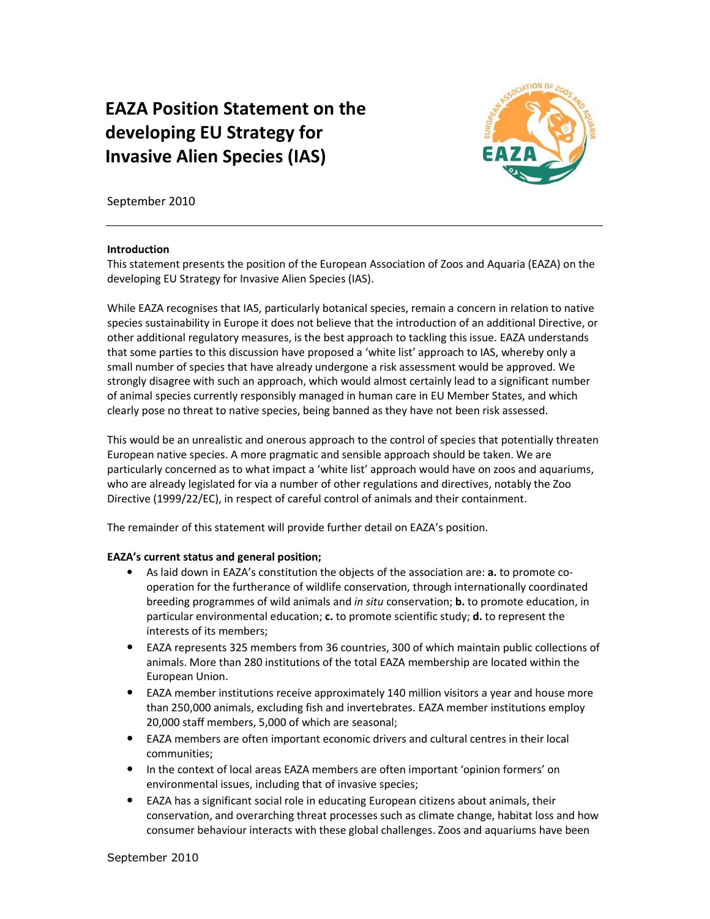# EAZA Position Statement on the developing EU Strategy for Invasive Alien Species (IAS)



September 2010

#### Introduction

This statement presents the position of the European Association of Zoos and Aquaria (EAZA) on the developing EU Strategy for Invasive Alien Species (IAS).

While EAZA recognises that IAS, particularly botanical species, remain a concern in relation to native species sustainability in Europe it does not believe that the introduction of an additional Directive, or other additional regulatory measures, is the best approach to tackling this issue. EAZA understands that some parties to this discussion have proposed a 'white list' approach to IAS, whereby only a small number of species that have already undergone a risk assessment would be approved. We strongly disagree with such an approach, which would almost certainly lead to a significant number of animal species currently responsibly managed in human care in EU Member States, and which clearly pose no threat to native species, being banned as they have not been risk assessed.

This would be an unrealistic and onerous approach to the control of species that potentially threaten European native species. A more pragmatic and sensible approach should be taken. We are particularly concerned as to what impact a 'white list' approach would have on zoos and aquariums, who are already legislated for via a number of other regulations and directives, notably the Zoo Directive (1999/22/EC), in respect of careful control of animals and their containment.

The remainder of this statement will provide further detail on EAZA's position.

## EAZA's current status and general position;

- As laid down in EAZA's constitution the objects of the association are: **a.** to promote cooperation for the furtherance of wildlife conservation, through internationally coordinated breeding programmes of wild animals and *in situ* conservation; **b.** to promote education, in particular environmental education;  $c$ . to promote scientific study;  $d$ . to represent the interests of its members;
- EAZA represents 325 members from 36 countries, 300 of which maintain public collections of animals. More than 280 institutions of the total EAZA membership are located within the European Union.
- EAZA member institutions receive approximately 140 million visitors a year and house more than 250,000 animals, excluding fish and invertebrates. EAZA member institutions employ 20,000 staff members, 5,000 of which are seasonal;
- EAZA members are often important economic drivers and cultural centres in their local communities;
- In the context of local areas EAZA members are often important 'opinion formers' on environmental issues, including that of invasive species;
- EAZA has a significant social role in educating European citizens about animals, their conservation, and overarching threat processes such as climate change, habitat loss and how consumer behaviour interacts with these global challenges. Zoos and aquariums have been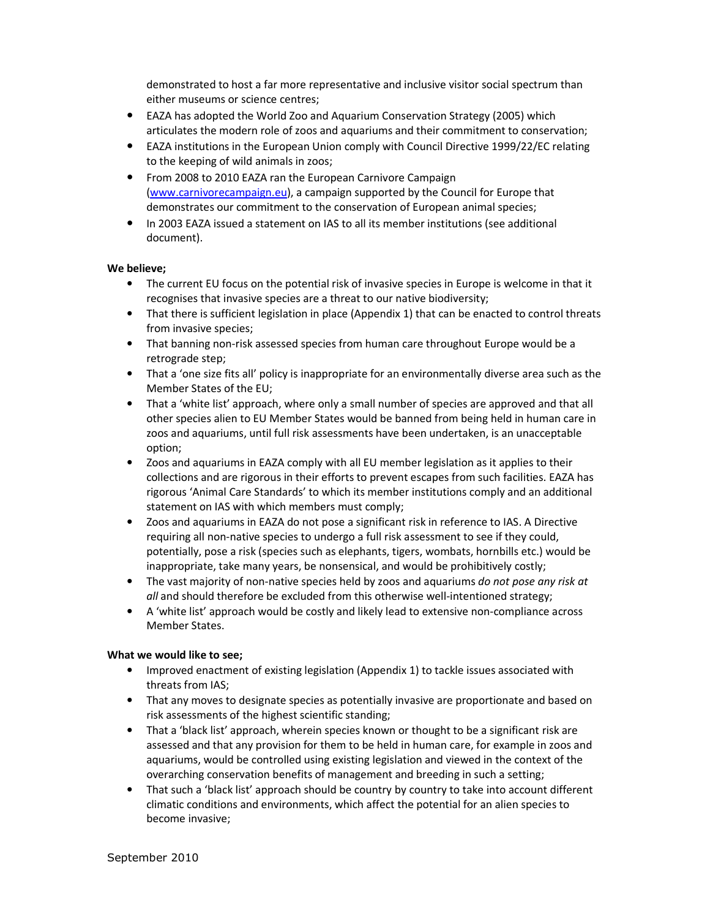demonstrated to host a far more representative and inclusive visitor social spectrum than either museums or science centres;

- EAZA has adopted the World Zoo and Aquarium Conservation Strategy (2005) which articulates the modern role of zoos and aquariums and their commitment to conservation;
- EAZA institutions in the European Union comply with Council Directive 1999/22/EC relating to the keeping of wild animals in zoos;
- From 2008 to 2010 EAZA ran the European Carnivore Campaign (www.carnivorecampaign.eu), a campaign supported by the Council for Europe that demonstrates our commitment to the conservation of European animal species;
- In 2003 EAZA issued a statement on IAS to all its member institutions (see additional document).

## We believe;

- The current EU focus on the potential risk of invasive species in Europe is welcome in that it recognises that invasive species are a threat to our native biodiversity;
- That there is sufficient legislation in place (Appendix 1) that can be enacted to control threats from invasive species;
- That banning non-risk assessed species from human care throughout Europe would be a retrograde step;
- That a 'one size fits all' policy is inappropriate for an environmentally diverse area such as the Member States of the EU;
- That a 'white list' approach, where only a small number of species are approved and that all other species alien to EU Member States would be banned from being held in human care in zoos and aquariums, until full risk assessments have been undertaken, is an unacceptable option;
- Zoos and aquariums in EAZA comply with all EU member legislation as it applies to their collections and are rigorous in their efforts to prevent escapes from such facilities. EAZA has rigorous 'Animal Care Standards' to which its member institutions comply and an additional statement on IAS with which members must comply;
- Zoos and aquariums in EAZA do not pose a significant risk in reference to IAS. A Directive requiring all non-native species to undergo a full risk assessment to see if they could, potentially, pose a risk (species such as elephants, tigers, wombats, hornbills etc.) would be inappropriate, take many years, be nonsensical, and would be prohibitively costly;
- The vast majority of non-native species held by zoos and aquariums do not pose any risk at all and should therefore be excluded from this otherwise well-intentioned strategy;
- A 'white list' approach would be costly and likely lead to extensive non-compliance across Member States.

## What we would like to see;

- Improved enactment of existing legislation (Appendix 1) to tackle issues associated with threats from IAS;
- That any moves to designate species as potentially invasive are proportionate and based on risk assessments of the highest scientific standing;
- That a 'black list' approach, wherein species known or thought to be a significant risk are assessed and that any provision for them to be held in human care, for example in zoos and aquariums, would be controlled using existing legislation and viewed in the context of the overarching conservation benefits of management and breeding in such a setting;
- That such a 'black list' approach should be country by country to take into account different climatic conditions and environments, which affect the potential for an alien species to become invasive;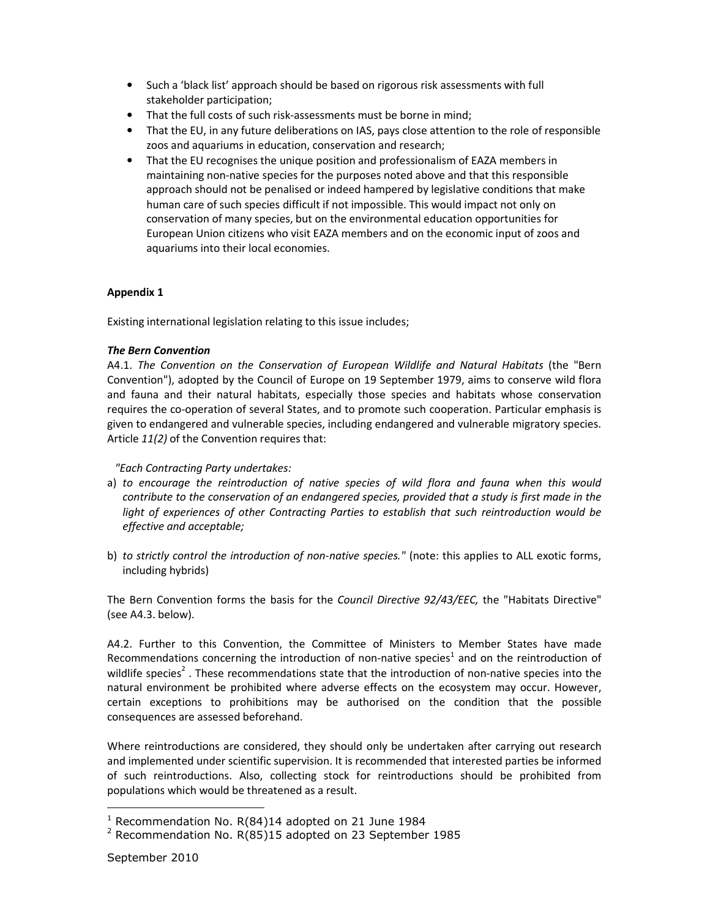- Such a 'black list' approach should be based on rigorous risk assessments with full stakeholder participation;
- That the full costs of such risk-assessments must be borne in mind;
- That the EU, in any future deliberations on IAS, pays close attention to the role of responsible zoos and aquariums in education, conservation and research;
- That the EU recognises the unique position and professionalism of EAZA members in maintaining non-native species for the purposes noted above and that this responsible approach should not be penalised or indeed hampered by legislative conditions that make human care of such species difficult if not impossible. This would impact not only on conservation of many species, but on the environmental education opportunities for European Union citizens who visit EAZA members and on the economic input of zoos and aquariums into their local economies.

## Appendix 1

Existing international legislation relating to this issue includes;

## The Bern Convention

A4.1. The Convention on the Conservation of European Wildlife and Natural Habitats (the "Bern Convention"), adopted by the Council of Europe on 19 September 1979, aims to conserve wild flora and fauna and their natural habitats, especially those species and habitats whose conservation requires the co-operation of several States, and to promote such cooperation. Particular emphasis is given to endangered and vulnerable species, including endangered and vulnerable migratory species. Article 11(2) of the Convention requires that:

"Each Contracting Party undertakes:

- a) to encourage the reintroduction of native species of wild flora and fauna when this would contribute to the conservation of an endangered species, provided that a study is first made in the light of experiences of other Contracting Parties to establish that such reintroduction would be effective and acceptable;
- b) to strictly control the introduction of non-native species." (note: this applies to ALL exotic forms, including hybrids)

The Bern Convention forms the basis for the Council Directive 92/43/EEC, the "Habitats Directive" (see A4.3. below).

A4.2. Further to this Convention, the Committee of Ministers to Member States have made Recommendations concerning the introduction of non-native species<sup>1</sup> and on the reintroduction of wildlife species<sup>2</sup>. These recommendations state that the introduction of non-native species into the natural environment be prohibited where adverse effects on the ecosystem may occur. However, certain exceptions to prohibitions may be authorised on the condition that the possible consequences are assessed beforehand.

Where reintroductions are considered, they should only be undertaken after carrying out research and implemented under scientific supervision. It is recommended that interested parties be informed of such reintroductions. Also, collecting stock for reintroductions should be prohibited from populations which would be threatened as a result.

 $\overline{a}$ 

<sup>&</sup>lt;sup>1</sup> Recommendation No. R(84)14 adopted on 21 June 1984

 $2$  Recommendation No. R(85)15 adopted on 23 September 1985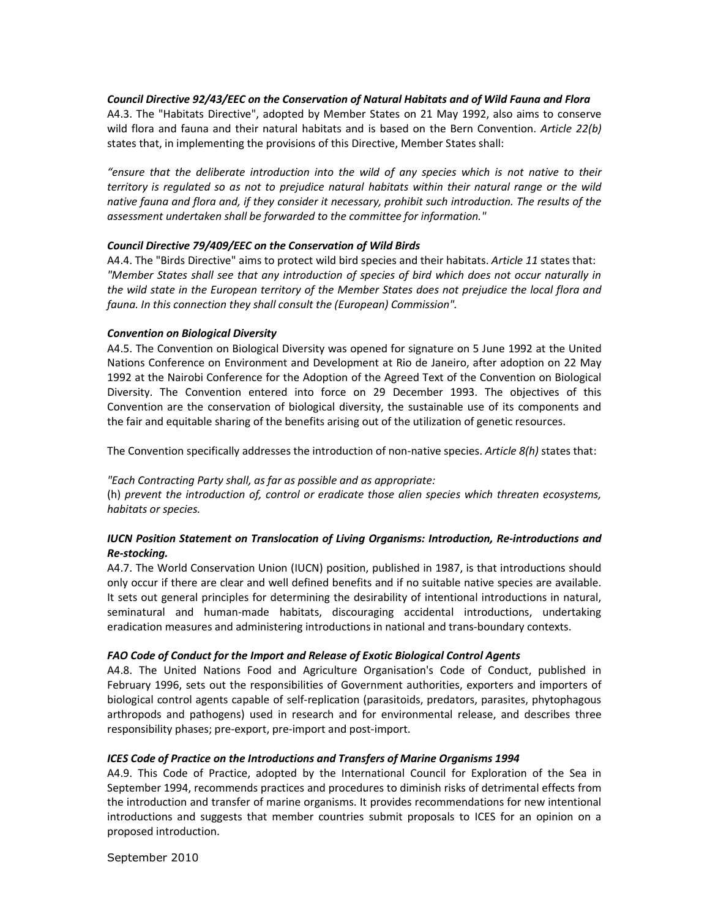## Council Directive 92/43/EEC on the Conservation of Natural Habitats and of Wild Fauna and Flora

A4.3. The "Habitats Directive", adopted by Member States on 21 May 1992, also aims to conserve wild flora and fauna and their natural habitats and is based on the Bern Convention. Article 22(b) states that, in implementing the provisions of this Directive, Member States shall:

"ensure that the deliberate introduction into the wild of any species which is not native to their territory is regulated so as not to prejudice natural habitats within their natural range or the wild native fauna and flora and, if they consider it necessary, prohibit such introduction. The results of the assessment undertaken shall be forwarded to the committee for information."

## Council Directive 79/409/EEC on the Conservation of Wild Birds

A4.4. The "Birds Directive" aims to protect wild bird species and their habitats. Article 11 states that: "Member States shall see that any introduction of species of bird which does not occur naturally in the wild state in the European territory of the Member States does not prejudice the local flora and fauna. In this connection they shall consult the (European) Commission".

## Convention on Biological Diversity

A4.5. The Convention on Biological Diversity was opened for signature on 5 June 1992 at the United Nations Conference on Environment and Development at Rio de Janeiro, after adoption on 22 May 1992 at the Nairobi Conference for the Adoption of the Agreed Text of the Convention on Biological Diversity. The Convention entered into force on 29 December 1993. The objectives of this Convention are the conservation of biological diversity, the sustainable use of its components and the fair and equitable sharing of the benefits arising out of the utilization of genetic resources.

The Convention specifically addresses the introduction of non-native species. Article 8(h) states that:

"Each Contracting Party shall, as far as possible and as appropriate: (h) prevent the introduction of, control or eradicate those alien species which threaten ecosystems, habitats or species.

## IUCN Position Statement on Translocation of Living Organisms: Introduction, Re-introductions and Re-stocking.

A4.7. The World Conservation Union (IUCN) position, published in 1987, is that introductions should only occur if there are clear and well defined benefits and if no suitable native species are available. It sets out general principles for determining the desirability of intentional introductions in natural, seminatural and human-made habitats, discouraging accidental introductions, undertaking eradication measures and administering introductions in national and trans-boundary contexts.

## FAO Code of Conduct for the Import and Release of Exotic Biological Control Agents

A4.8. The United Nations Food and Agriculture Organisation's Code of Conduct, published in February 1996, sets out the responsibilities of Government authorities, exporters and importers of biological control agents capable of self-replication (parasitoids, predators, parasites, phytophagous arthropods and pathogens) used in research and for environmental release, and describes three responsibility phases; pre-export, pre-import and post-import.

## ICES Code of Practice on the Introductions and Transfers of Marine Organisms 1994

A4.9. This Code of Practice, adopted by the International Council for Exploration of the Sea in September 1994, recommends practices and procedures to diminish risks of detrimental effects from the introduction and transfer of marine organisms. It provides recommendations for new intentional introductions and suggests that member countries submit proposals to ICES for an opinion on a proposed introduction.

September 2010